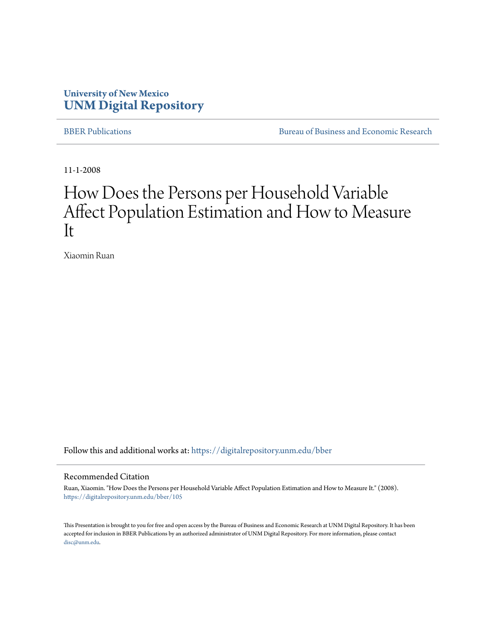#### **University of New Mexico [UNM Digital Repository](https://digitalrepository.unm.edu?utm_source=digitalrepository.unm.edu%2Fbber%2F105&utm_medium=PDF&utm_campaign=PDFCoverPages)**

[BBER Publications](https://digitalrepository.unm.edu/bber?utm_source=digitalrepository.unm.edu%2Fbber%2F105&utm_medium=PDF&utm_campaign=PDFCoverPages) **BUREAU SERVICES** [Bureau of Business and Economic Research](https://digitalrepository.unm.edu/business_economic_research?utm_source=digitalrepository.unm.edu%2Fbber%2F105&utm_medium=PDF&utm_campaign=PDFCoverPages)

11-1-2008

#### How Does the Persons per Household Variable Affect Population Estimation and How to Measure It

Xiaomin Ruan

Follow this and additional works at: [https://digitalrepository.unm.edu/bber](https://digitalrepository.unm.edu/bber?utm_source=digitalrepository.unm.edu%2Fbber%2F105&utm_medium=PDF&utm_campaign=PDFCoverPages)

#### Recommended Citation

Ruan, Xiaomin. "How Does the Persons per Household Variable Affect Population Estimation and How to Measure It." (2008). [https://digitalrepository.unm.edu/bber/105](https://digitalrepository.unm.edu/bber/105?utm_source=digitalrepository.unm.edu%2Fbber%2F105&utm_medium=PDF&utm_campaign=PDFCoverPages)

This Presentation is brought to you for free and open access by the Bureau of Business and Economic Research at UNM Digital Repository. It has been accepted for inclusion in BBER Publications by an authorized administrator of UNM Digital Repository. For more information, please contact [disc@unm.edu](mailto:disc@unm.edu).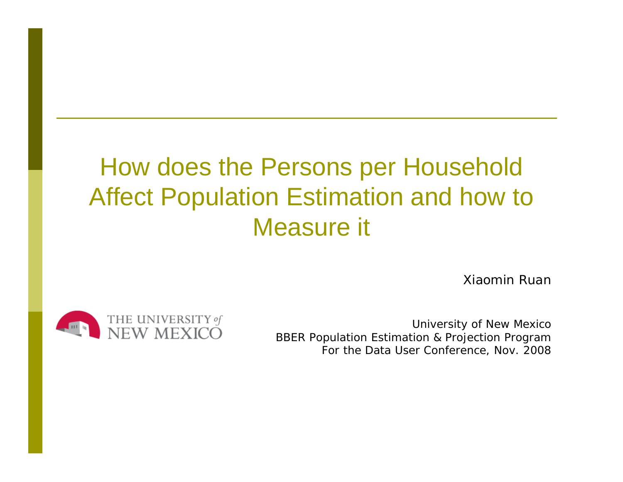# How does the Persons per Household Affect Population Estimation and how to Measure it

Xiaomin Ruan



University of New Mexico BBER Population Estimation & Projection Program For the Data User Conference, Nov. 2008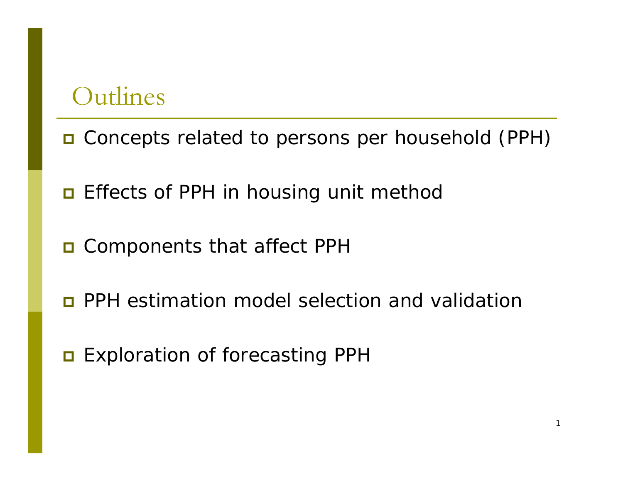#### Outlines

- Concepts related to persons per household (PPH)
- $\blacksquare$  Effects of PPH in housing unit method
- **O** Components that affect PPH
- **D** PPH estimation model selection and validation
- **□** Exploration of forecasting PPH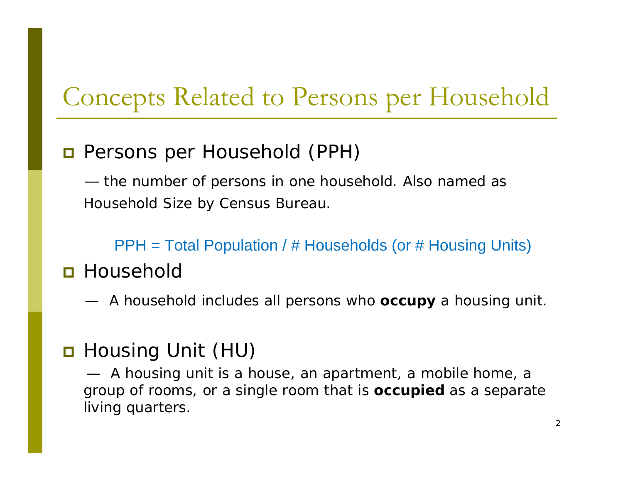## Concepts Related to Persons per Household

#### **D** Persons per Household (PPH)

— the number of persons in one household. Also named as Household Size by Census Bureau.

PPH = Total Population / # Households (or # Housing Units)

#### **□** Household

— A household includes all persons who **occupy** a housing unit.

#### B Housing Unit (HU)

— A housing unit is a house, an apartment, a mobile home, a group of rooms, or a single room that is **occupied** as a separate living quarters.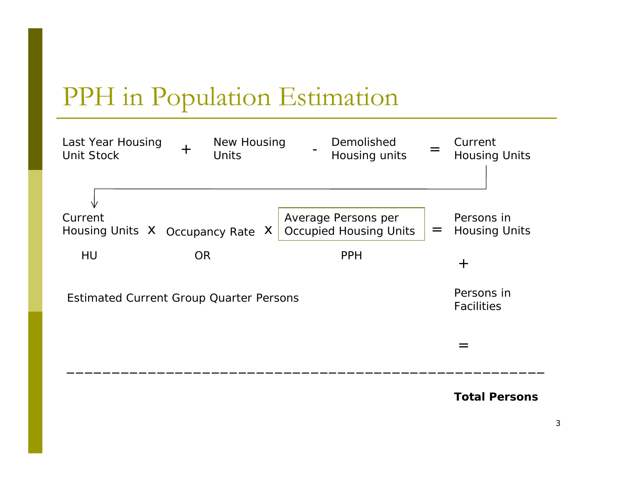## PPH in Population Estimation



**Total Persons**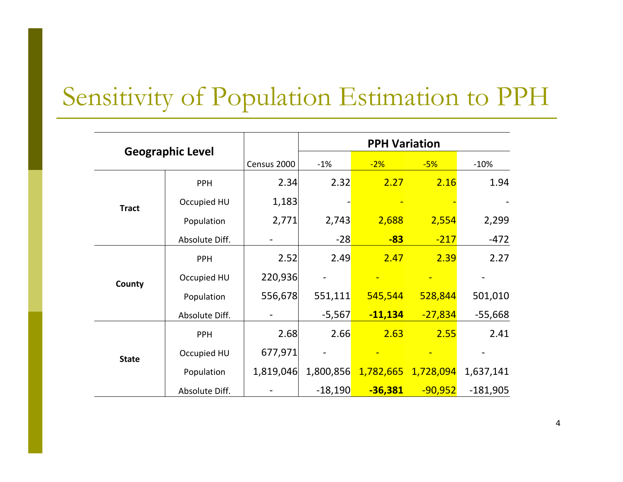### Sensitivity of Population Estimation to PPH

| <b>Geographic Level</b> |                |             | <b>PPH Variation</b> |           |                     |            |  |  |
|-------------------------|----------------|-------------|----------------------|-----------|---------------------|------------|--|--|
|                         |                | Census 2000 | $-1%$                | $-2%$     | $-5%$               | $-10%$     |  |  |
|                         | <b>PPH</b>     | 2.34        | 2.32                 | 2.27      | 2.16                | 1.94       |  |  |
| <b>Tract</b>            | Occupied HU    | 1,183       |                      |           |                     |            |  |  |
|                         | Population     | 2,771       | 2,743                | 2,688     | 2,554               | 2,299      |  |  |
|                         | Absolute Diff. |             | $-28$                | $-83$     | $-217$              | $-472$     |  |  |
|                         | <b>PPH</b>     | 2.52        | 2.49                 | 2.47      | 2.39                | 2.27       |  |  |
| County                  | Occupied HU    | 220,936     |                      |           |                     |            |  |  |
|                         | Population     | 556,678     | 551,111              | 545,544   | 528,844             | 501,010    |  |  |
|                         | Absolute Diff. |             | $-5,567$             | $-11,134$ | $-27,834$           | $-55,668$  |  |  |
|                         | <b>PPH</b>     | 2.68        | 2.66                 | 2.63      | 2.55                | 2.41       |  |  |
| <b>State</b>            | Occupied HU    | 677,971     |                      |           |                     |            |  |  |
|                         | Population     | 1,819,046   | 1,800,856            |           | 1,782,665 1,728,094 | 1,637,141  |  |  |
|                         | Absolute Diff. |             | $-18,190$            | $-36,381$ | $-90,952$           | $-181,905$ |  |  |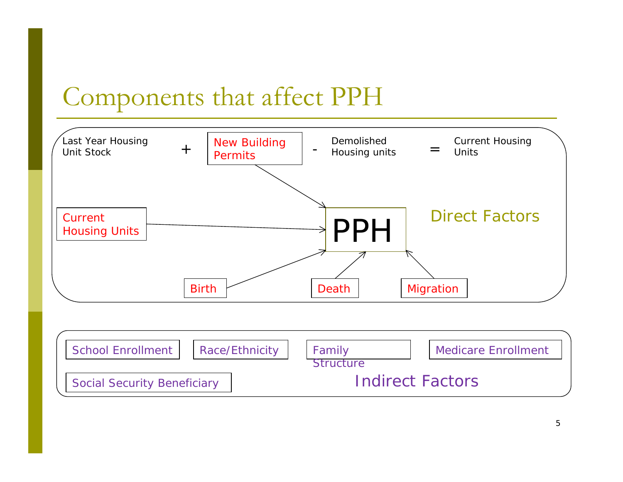### Components that affect PPH

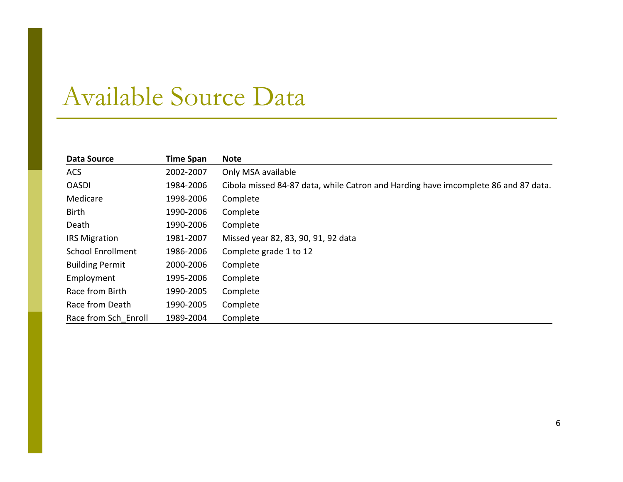#### Available Source Data

| <b>Data Source</b>       | <b>Time Span</b> | <b>Note</b>                                                                        |
|--------------------------|------------------|------------------------------------------------------------------------------------|
| <b>ACS</b>               | 2002-2007        | Only MSA available                                                                 |
| <b>OASDI</b>             | 1984-2006        | Cibola missed 84-87 data, while Catron and Harding have imcomplete 86 and 87 data. |
| Medicare                 | 1998-2006        | Complete                                                                           |
| Birth                    | 1990-2006        | Complete                                                                           |
| Death                    | 1990-2006        | Complete                                                                           |
| <b>IRS Migration</b>     | 1981-2007        | Missed year 82, 83, 90, 91, 92 data                                                |
| <b>School Enrollment</b> | 1986-2006        | Complete grade 1 to 12                                                             |
| <b>Building Permit</b>   | 2000-2006        | Complete                                                                           |
| Employment               | 1995-2006        | Complete                                                                           |
| Race from Birth          | 1990-2005        | Complete                                                                           |
| Race from Death          | 1990-2005        | Complete                                                                           |
| Race from Sch Enroll     | 1989-2004        | Complete                                                                           |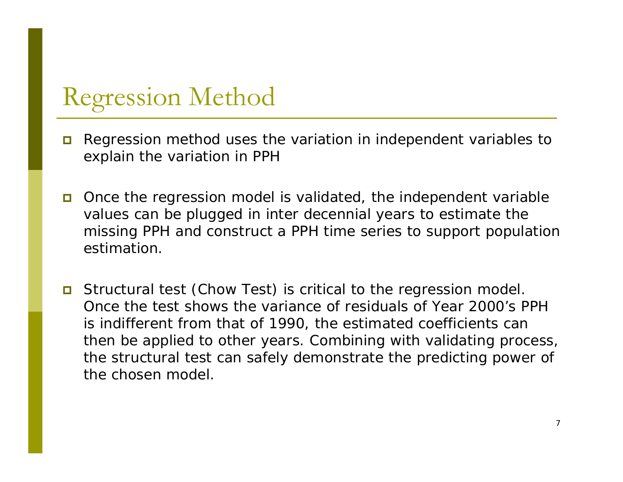### Regression Method

- $\Box$  Regression method uses the variation in independent variables to explain the variation in PPH
- Once the regression model is validated, the independent variable values can be plugged in inter decennial years to estimate the missing PPH and construct a PPH time series to support population estimation.
- Structural test (Chow Test) is critical to the regression model. Once the test shows the variance of residuals of Year 2000's PPH is indifferent from that of 1990, the estimated coefficients can then be applied to other years. Combining with validating process, the structural test can safely demonstrate the predicting power of the chosen model.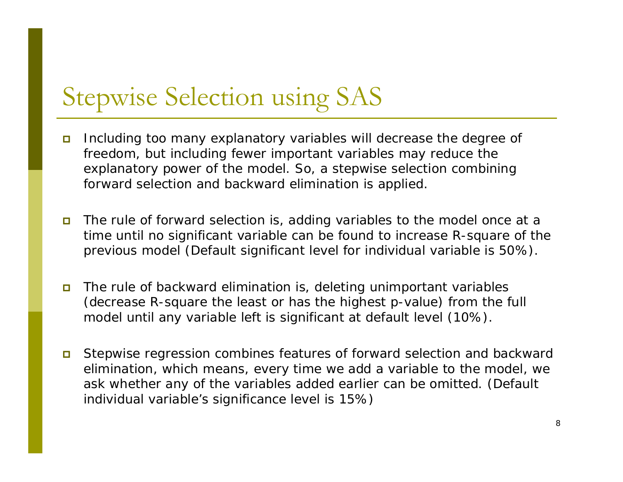## Stepwise Selection using SAS

- $\Box$  Including too many explanatory variables will decrease the degree of freedom, but including fewer important variables may reduce the explanatory power of the model. So, a stepwise selection combining forward selection and backward elimination is applied.
- $\blacksquare$  The rule of forward selection is, adding variables to the model once at a time until no significant variable can be found to increase R-square of the previous model (Default significant level for individual variable is 50%).
- $\Box$  The rule of backward elimination is, deleting unimportant variables (decrease R-square the least or has the highest p-value) from the full model until any variable left is significant at default level (10%).
- $\Box$  Stepwise regression combines features of forward selection and backward elimination, which means, every time we add a variable to the model, we ask whether any of the variables added earlier can be omitted. (Default individual variable's significance level is 15%)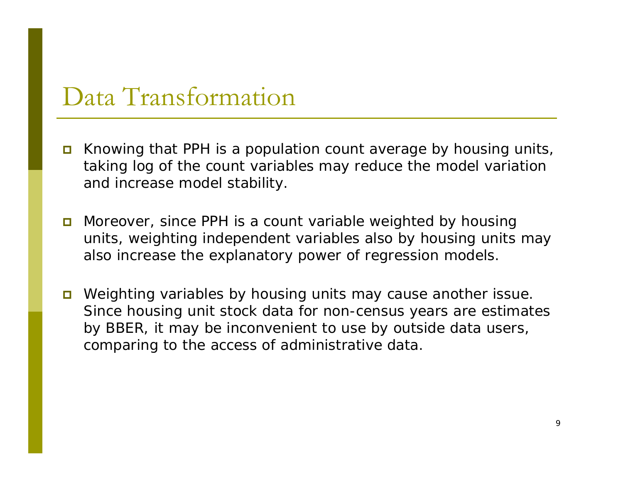#### Data Transformation

- Knowing that PPH is a population count average by housing units, taking log of the count variables may reduce the model variation and increase model stability.
- **n** Moreover, since PPH is a count variable weighted by housing units, weighting independent variables also by housing units may also increase the explanatory power of regression models.
- **D** Weighting variables by housing units may cause another issue. Since housing unit stock data for non-census years are estimates by BBER, it may be inconvenient to use by outside data users, comparing to the access of administrative data.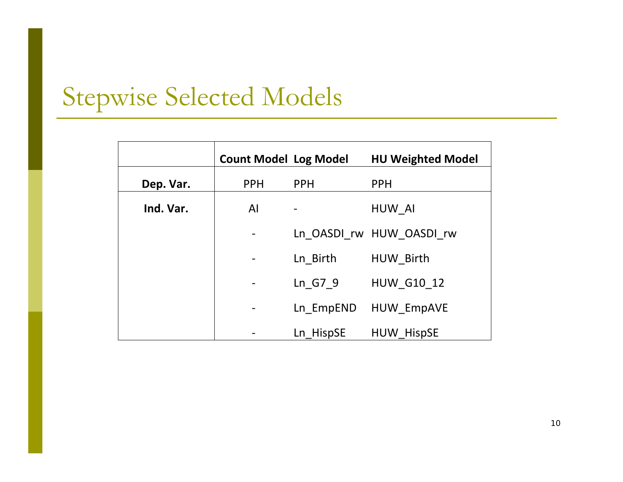# Stepwise Selected Models

|           | <b>Count Model Log Model</b> |            | <b>HU Weighted Model</b> |
|-----------|------------------------------|------------|--------------------------|
| Dep. Var. | <b>PPH</b>                   | <b>PPH</b> | <b>PPH</b>               |
| Ind. Var. | AI                           |            | HUW AI                   |
|           |                              |            | Ln OASDI rw HUW OASDI rw |
|           |                              | Ln_Birth   | HUW Birth                |
|           |                              | Ln G7 9    | <b>HUW G10 12</b>        |
|           |                              | Ln EmpEND  | <b>HUW EmpAVE</b>        |
|           |                              | Ln HispSE  | <b>HUW HispSE</b>        |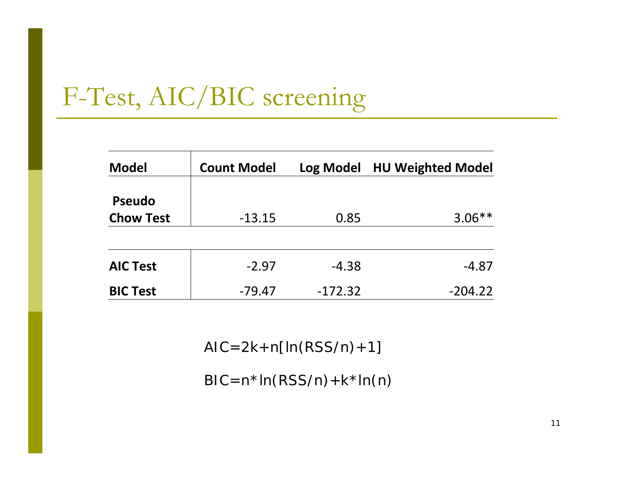# F-Test, AIC/BIC screening

| <b>Model</b>                      | <b>Count Model</b> | Log Model | <b>HU Weighted Model</b> |
|-----------------------------------|--------------------|-----------|--------------------------|
| <b>Pseudo</b><br><b>Chow Test</b> | $-13.15$           | 0.85      | $3.06**$                 |
| <b>AIC Test</b>                   | $-2.97$            | $-4.38$   | $-4.87$                  |
| <b>BIC Test</b>                   | $-79.47$           | $-172.32$ | $-204.22$                |

AIC=2k+n[ln(RSS/n)+1]

 $BIC=n*ln(RSS/n)+k*ln(n)$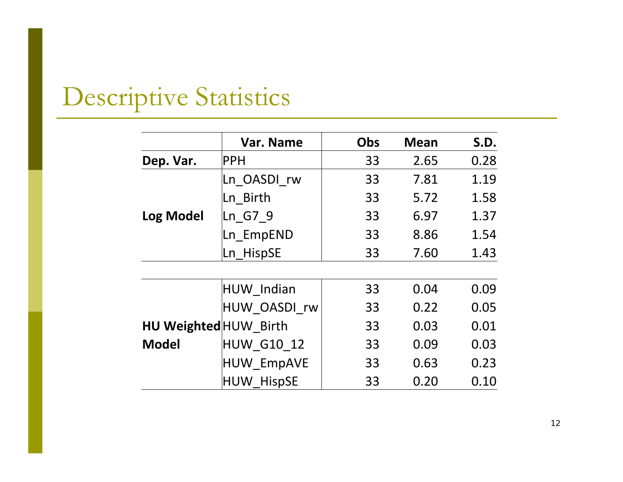# Descriptive Statistics

|                       | Var. Name         | <b>Obs</b> | <b>Mean</b> | S.D. |
|-----------------------|-------------------|------------|-------------|------|
| Dep. Var.             | <b>PPH</b>        | 33         | 2.65        | 0.28 |
|                       | Ln OASDI rw       | 33         | 7.81        | 1.19 |
|                       | Ln Birth          | 33         | 5.72        | 1.58 |
| <b>Log Model</b>      | Ln G7 9           | 33         | 6.97        | 1.37 |
|                       | Ln EmpEND         | 33         | 8.86        | 1.54 |
|                       | Ln HispSE         | 33         | 7.60        | 1.43 |
|                       |                   |            |             |      |
|                       | HUW Indian        | 33         | 0.04        | 0.09 |
|                       | HUW OASDI rw      | 33         | 0.22        | 0.05 |
| HU Weighted HUW Birth |                   | 33         | 0.03        | 0.01 |
| <b>Model</b>          | <b>HUW G10 12</b> | 33         | 0.09        | 0.03 |
|                       | <b>HUW EmpAVE</b> | 33         | 0.63        | 0.23 |
|                       | <b>HUW HispSE</b> | 33         | 0.20        | 0.10 |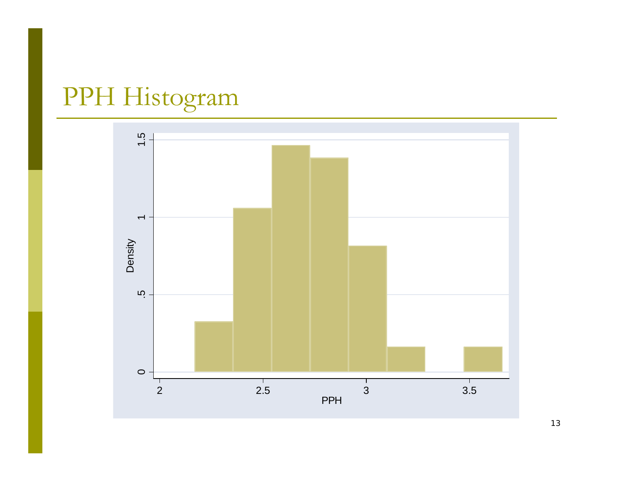# PPH Histogram

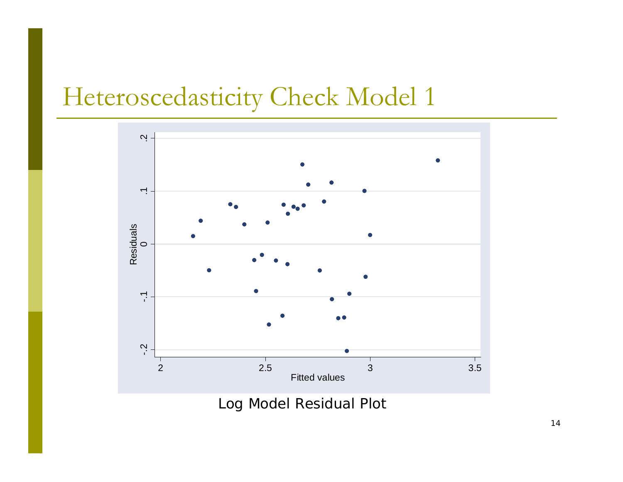### Heteroscedasticity Check Model 1



Log Model Residual Plot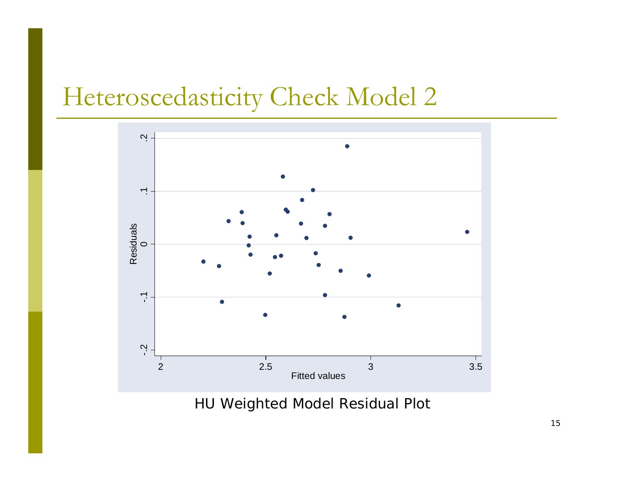### Heteroscedasticity Check Model 2



HU Weighted Model Residual Plot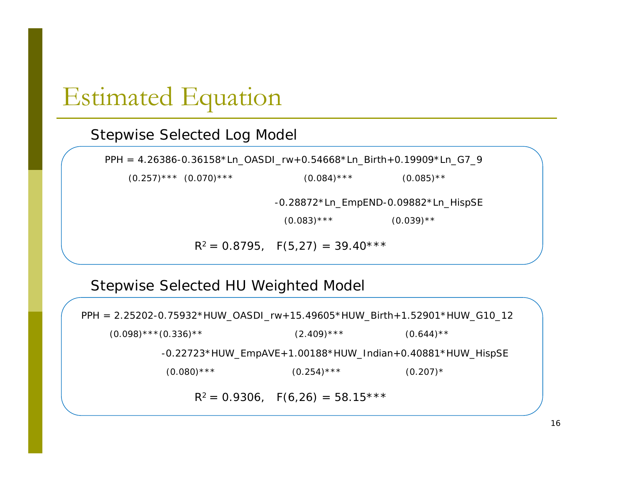#### Estimated Equation

#### Stepwise Selected Log Model

PPH = 4.26386-0.36158\*Ln\_OASDI\_rw+0.54668\*Ln\_Birth+0.19909\*Ln\_G7\_9

 $(0.257)$ \*\*\*  $(0.070)$ \*\*\* (0.084)\*\*\* (0.085)\*\*

-0.28872\*Ln\_EmpEND-0.09882\*Ln\_HispSE

 $(0.083)$ \*\*\*  $(0.039)$ \*\*

 $R^2 = 0.8795$ ,  $F(5,27) = 39.40***$ 

#### Stepwise Selected HU Weighted Model

 $R^2 = 0.9306$ ,  $F(6,26) = 58.15***$  $(0.098)$ \*\*\* $(0.336)$ \*\* (2.409)\*\*\* (0.644)\*\*  $(0.080)$ \*\*\*  $(0.254)$ \*\*\*  $(0.207)$ \* PPH = 2.25202-0.75932\*HUW\_OASDI\_rw+15.49605\*HUW\_Birth+1.52901\*HUW\_G10\_12 -0.22723\*HUW\_EmpAVE+1.00188\*HUW\_Indian+0.40881\*HUW\_HispSE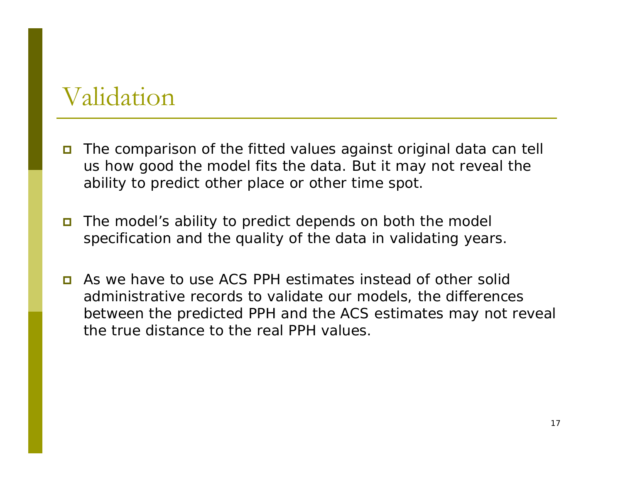#### Validation

- The comparison of the fitted values against original data can tell us how good the model fits the data. But it may not reveal the ability to predict other place or other time spot.
- $\blacksquare$  The model's ability to predict depends on both the model specification and the quality of the data in validating years.
- **E** As we have to use ACS PPH estimates instead of other solid administrative records to validate our models, the differences between the predicted PPH and the ACS estimates may not reveal the true distance to the real PPH values.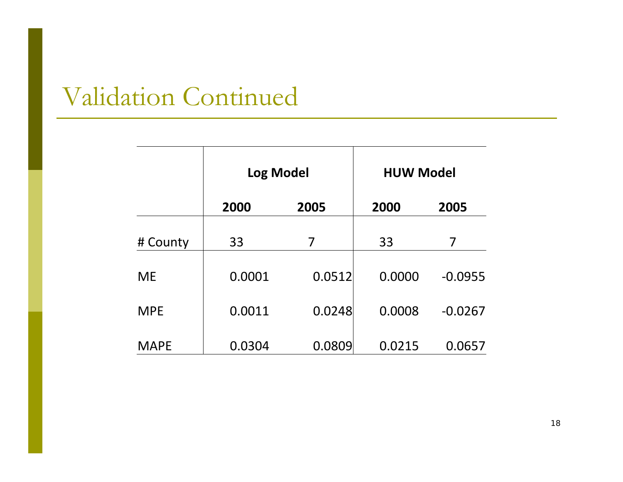# Validation Continued

|             | <b>Log Model</b> |        | <b>HUW Model</b> |           |  |
|-------------|------------------|--------|------------------|-----------|--|
|             | 2000             | 2005   | 2000             | 2005      |  |
| # County    | 33               | 7      | 33               | 7         |  |
| <b>ME</b>   | 0.0001           | 0.0512 | 0.0000           | $-0.0955$ |  |
| <b>MPE</b>  | 0.0011           | 0.0248 | 0.0008           | $-0.0267$ |  |
| <b>MAPE</b> | 0.0304           | 0.0809 | 0.0215           | 0.0657    |  |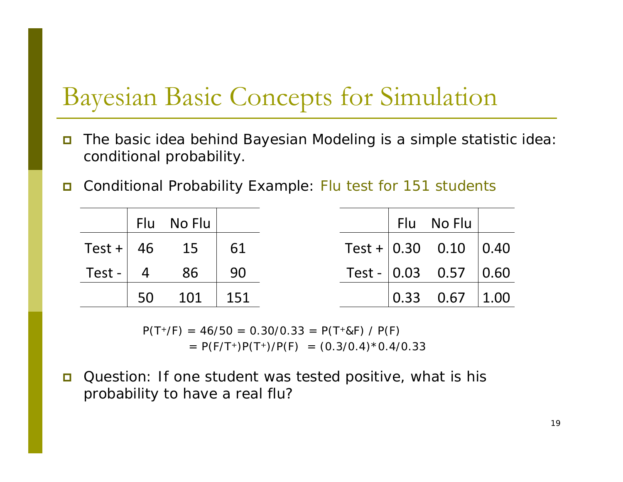### Bayesian Basic Concepts for Simulation

- $\Box$  The basic idea behind Bayesian Modeling is a simple statistic idea: conditional probability.
- $\Box$ Conditional Probability Example: Flu test for 151 students

|  | Flu No Flu            |  |  | Flu No Flu $\vert$                              |  |
|--|-----------------------|--|--|-------------------------------------------------|--|
|  | Test + $ 46$ 15 $ 61$ |  |  | Test + $\vert 0.30 \vert 0.10 \vert 0.40 \vert$ |  |
|  | Test - $  4 86   90$  |  |  | Test - $\vert 0.03 \quad 0.57 \vert 0.60 \vert$ |  |
|  | $50$ $101$ $151$      |  |  | $\vert 0.33 \quad 0.67 \vert 1.00 \vert$        |  |

 $P(T+/F) = 46/50 = 0.30/0.33 = P(T+8F) / P(F)$  $= P(F/T^{+})P(T^{+})/P(F) = (0.3/0.4)^{*}0.4/0.33$ 

 $\Box$  Question: If one student was tested positive, what is his probability to have a real flu?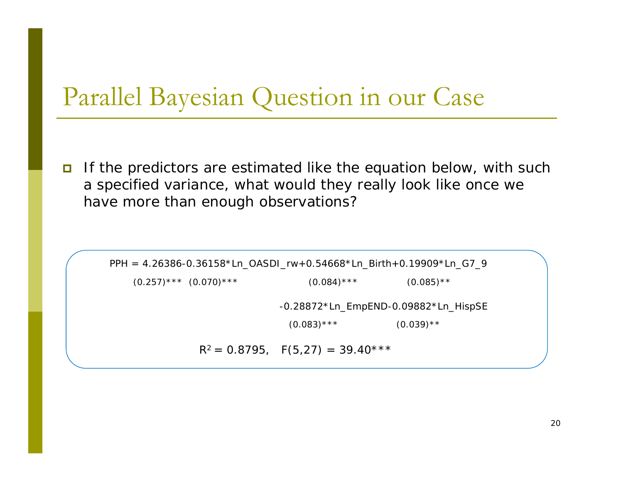#### Parallel Bayesian Question in our Case

 $\Box$  If the predictors are estimated like the equation below, with such a specified variance, what would they really look like once we have more than enough observations?

 $R^2 = 0.8795$ ,  $F(5,27) = 39.40***$  $(0.257)$ \*\*\*  $(0.070)$ \*\*\* (0.084)\*\*\* (0.085)\*\*  $(0.083)$ \*\*\*  $(0.039)$ \*\* PPH = 4.26386-0.36158\*Ln\_OASDI\_rw+0.54668\*Ln\_Birth+0.19909\*Ln\_G7\_9 -0.28872\*Ln\_EmpEND-0.09882\*Ln\_HispSE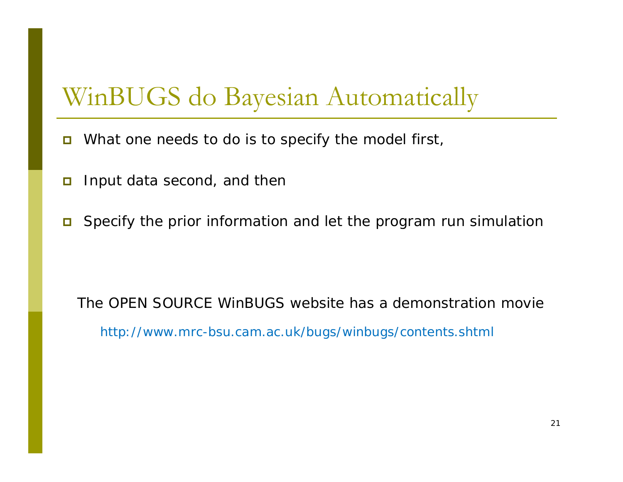### WinBUGS do Bayesian Automatically

- $\Box$ What one needs to do is to specify the model first,
- $\Box$ Input data second, and then
- Specify the prior information and let the program run simulation

The OPEN SOURCE WinBUGS website has a demonstration moviehttp://www.mrc-bsu.cam.ac.uk/bugs/winbugs/contents.shtml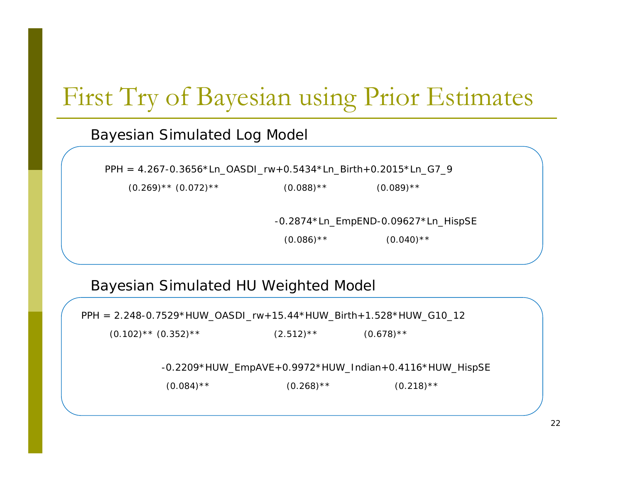# First Try of Bayesian using Prior Estimates

#### Bayesian Simulated Log Model

PPH = 4.267-0.3656\*Ln\_OASDI\_rw+0.5434\*Ln\_Birth+0.2015\*Ln\_G7\_9

 $(0.269)$ \*\*  $(0.072)$ \*\*  $(0.088)$ \*\*  $(0.089)$ \*\*  $(0.089)$ \*\*

-0.2874\*Ln\_EmpEND-0.09627\*Ln\_HispSE

 $(0.086)$ <sup>\*\*</sup>  $(0.040)$ <sup>\*\*</sup>

#### Bayesian Simulated HU Weighted Model

PPH = 2.248-0.7529\*HUW\_OASDI\_rw+15.44\*HUW\_Birth+1.528\*HUW\_G10\_12

 $(0.102)$ \*\*  $(0.352)$ \*\*  $(2.512)$ \*\*  $(0.678)$ \*\*

-0.2209\*HUW\_EmpAVE+0.9972\*HUW\_Indian+0.4116\*HUW\_HispSE

 $(0.084)$ <sup>\*\*</sup>  $(0.268)$ <sup>\*\*</sup>  $(0.218)$ <sup>\*\*</sup>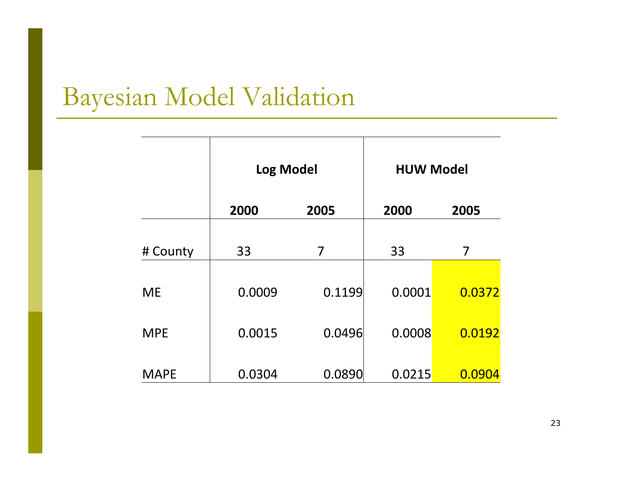# Bayesian Model Validation

|             | <b>Log Model</b> |        |        | <b>HUW Model</b> |  |  |
|-------------|------------------|--------|--------|------------------|--|--|
|             | 2000             | 2005   | 2000   | 2005             |  |  |
| # County    | 33               | 7      | 33     | 7                |  |  |
| <b>ME</b>   | 0.0009           | 0.1199 | 0.0001 | 0.0372           |  |  |
| <b>MPE</b>  | 0.0015           | 0.0496 | 0.0008 | 0.0192           |  |  |
| <b>MAPE</b> | 0.0304           | 0.0890 | 0.0215 | 0.0904           |  |  |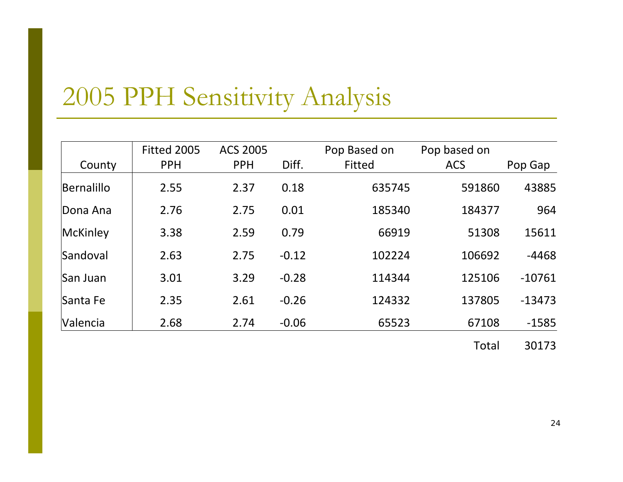# 2005 PPH Sensitivity Analysis

|            | Fitted 2005 | <b>ACS 2005</b> |         | Pop Based on | Pop based on |          |
|------------|-------------|-----------------|---------|--------------|--------------|----------|
| County     | <b>PPH</b>  | <b>PPH</b>      | Diff.   | Fitted       | <b>ACS</b>   | Pop Gap  |
| Bernalillo | 2.55        | 2.37            | 0.18    | 635745       | 591860       | 43885    |
| Dona Ana   | 2.76        | 2.75            | 0.01    | 185340       | 184377       | 964      |
| McKinley   | 3.38        | 2.59            | 0.79    | 66919        | 51308        | 15611    |
| Sandoval   | 2.63        | 2.75            | $-0.12$ | 102224       | 106692       | $-4468$  |
| San Juan   | 3.01        | 3.29            | $-0.28$ | 114344       | 125106       | $-10761$ |
| Santa Fe   | 2.35        | 2.61            | $-0.26$ | 124332       | 137805       | $-13473$ |
| Valencia   | 2.68        | 2.74            | $-0.06$ | 65523        | 67108        | $-1585$  |

Total 30173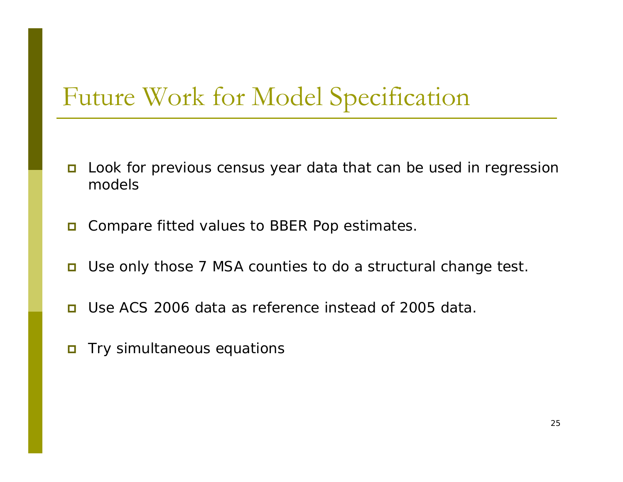### Future Work for Model Specification

- $\Box$  Look for previous census year data that can be used in regression models
- $\Box$ Compare fitted values to BBER Pop estimates.
- П Use only those 7 MSA counties to do a structural change test.
- $\Box$ Use ACS 2006 data as reference instead of 2005 data.
- $\Box$ Try simultaneous equations